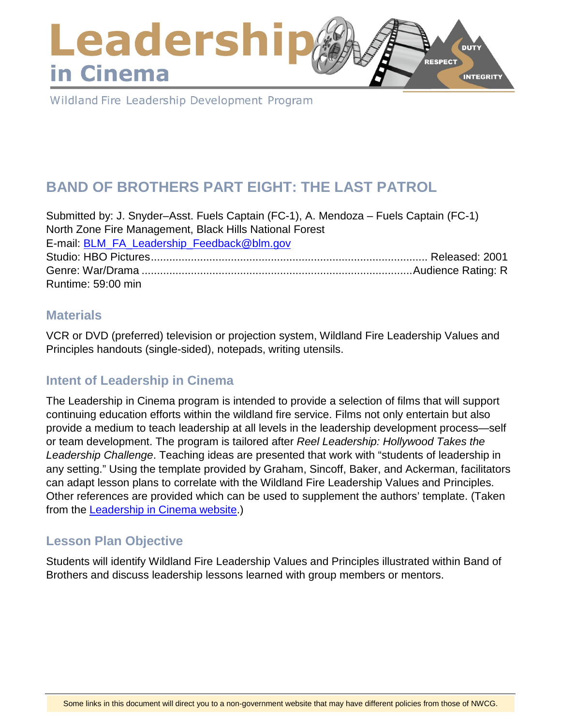### Leadershi **DUTY RESPECT** in Cinema **INTEGRITY**

Wildland Fire Leadership Development Program

# **BAND OF BROTHERS PART EIGHT: THE LAST PATROL**

Submitted by: J. Snyder–Asst. Fuels Captain (FC-1), A. Mendoza – Fuels Captain (FC-1) North Zone Fire Management, Black Hills National Forest E-mail: [BLM\\_FA\\_Leadership\\_Feedback@blm.gov](mailto:BLM_FA_Leadership_Feedback@blm.gov) Studio: HBO Pictures.......................................................................................... Released: 2001 Genre: War/Drama ........................................................................................Audience Rating: R Runtime: 59:00 min

### **Materials**

VCR or DVD (preferred) television or projection system, Wildland Fire Leadership Values and Principles handouts (single-sided), notepads, writing utensils.

# **Intent of Leadership in Cinema**

The Leadership in Cinema program is intended to provide a selection of films that will support continuing education efforts within the wildland fire service. Films not only entertain but also provide a medium to teach leadership at all levels in the leadership development process—self or team development. The program is tailored after *Reel Leadership: Hollywood Takes the Leadership Challenge*. Teaching ideas are presented that work with "students of leadership in any setting." Using the template provided by Graham, Sincoff, Baker, and Ackerman, facilitators can adapt lesson plans to correlate with the Wildland Fire Leadership Values and Principles. Other references are provided which can be used to supplement the authors' template. (Taken from the [Leadership in Cinema website.](https://www.fireleadership.gov/))

# **Lesson Plan Objective**

Students will identify Wildland Fire Leadership Values and Principles illustrated within Band of Brothers and discuss leadership lessons learned with group members or mentors.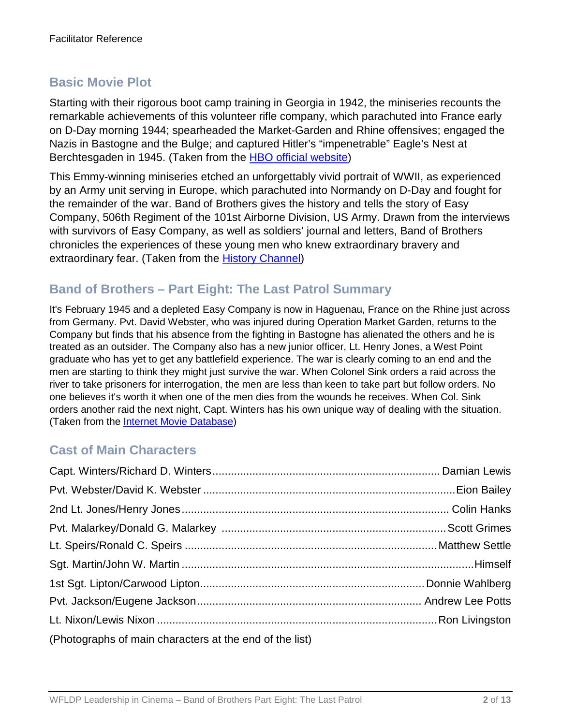# **Basic Movie Plot**

Starting with their rigorous boot camp training in Georgia in 1942, the miniseries recounts the remarkable achievements of this volunteer rifle company, which parachuted into France early on D-Day morning 1944; spearheaded the Market-Garden and Rhine offensives; engaged the Nazis in Bastogne and the Bulge; and captured Hitler's "impenetrable" Eagle's Nest at Berchtesgaden in 1945. (Taken from the [HBO official website\)](http://www.hbo.com/band/landing/currahee.html)

This Emmy-winning miniseries etched an unforgettably vivid portrait of WWII, as experienced by an Army unit serving in Europe, which parachuted into Normandy on D-Day and fought for the remainder of the war. Band of Brothers gives the history and tells the story of Easy Company, 506th Regiment of the 101st Airborne Division, US Army. Drawn from the interviews with survivors of Easy Company, as well as soldiers' journal and letters, Band of Brothers chronicles the experiences of these young men who knew extraordinary bravery and extraordinary fear. (Taken from the [History Channel\)](http://www.history.com/topics/d-day)

### **Band of Brothers – Part Eight: The Last Patrol Summary**

It's February 1945 and a depleted Easy Company is now in Haguenau, France on the Rhine just across from Germany. Pvt. David Webster, who was injured during Operation Market Garden, returns to the Company but finds that his absence from the fighting in Bastogne has alienated the others and he is treated as an outsider. The Company also has a new junior officer, Lt. Henry Jones, a West Point graduate who has yet to get any battlefield experience. The war is clearly coming to an end and the men are starting to think they might just survive the war. When Colonel Sink orders a raid across the river to take prisoners for interrogation, the men are less than keen to take part but follow orders. No one believes it's worth it when one of the men dies from the wounds he receives. When Col. Sink orders another raid the next night, Capt. Winters has his own unique way of dealing with the situation. (Taken from the [Internet Movie Database\)](http://www.imdb.com/)

# **Cast of Main Characters**

| (Photographs of main characters at the end of the list) |  |
|---------------------------------------------------------|--|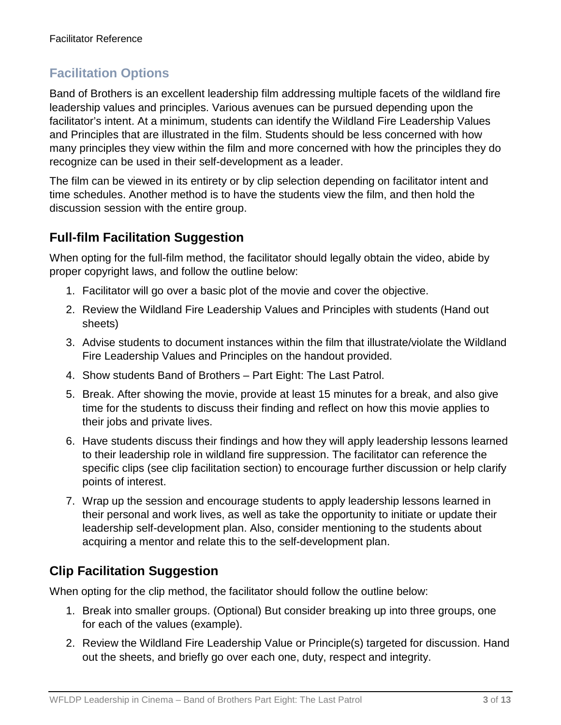# **Facilitation Options**

Band of Brothers is an excellent leadership film addressing multiple facets of the wildland fire leadership values and principles. Various avenues can be pursued depending upon the facilitator's intent. At a minimum, students can identify the Wildland Fire Leadership Values and Principles that are illustrated in the film. Students should be less concerned with how many principles they view within the film and more concerned with how the principles they do recognize can be used in their self-development as a leader.

The film can be viewed in its entirety or by clip selection depending on facilitator intent and time schedules. Another method is to have the students view the film, and then hold the discussion session with the entire group.

# **Full-film Facilitation Suggestion**

When opting for the full-film method, the facilitator should legally obtain the video, abide by proper copyright laws, and follow the outline below:

- 1. Facilitator will go over a basic plot of the movie and cover the objective.
- 2. Review the Wildland Fire Leadership Values and Principles with students (Hand out sheets)
- 3. Advise students to document instances within the film that illustrate/violate the Wildland Fire Leadership Values and Principles on the handout provided.
- 4. Show students Band of Brothers Part Eight: The Last Patrol.
- 5. Break. After showing the movie, provide at least 15 minutes for a break, and also give time for the students to discuss their finding and reflect on how this movie applies to their jobs and private lives.
- 6. Have students discuss their findings and how they will apply leadership lessons learned to their leadership role in wildland fire suppression. The facilitator can reference the specific clips (see clip facilitation section) to encourage further discussion or help clarify points of interest.
- 7. Wrap up the session and encourage students to apply leadership lessons learned in their personal and work lives, as well as take the opportunity to initiate or update their leadership self-development plan. Also, consider mentioning to the students about acquiring a mentor and relate this to the self-development plan.

# **Clip Facilitation Suggestion**

When opting for the clip method, the facilitator should follow the outline below:

- 1. Break into smaller groups. (Optional) But consider breaking up into three groups, one for each of the values (example).
- 2. Review the Wildland Fire Leadership Value or Principle(s) targeted for discussion. Hand out the sheets, and briefly go over each one, duty, respect and integrity.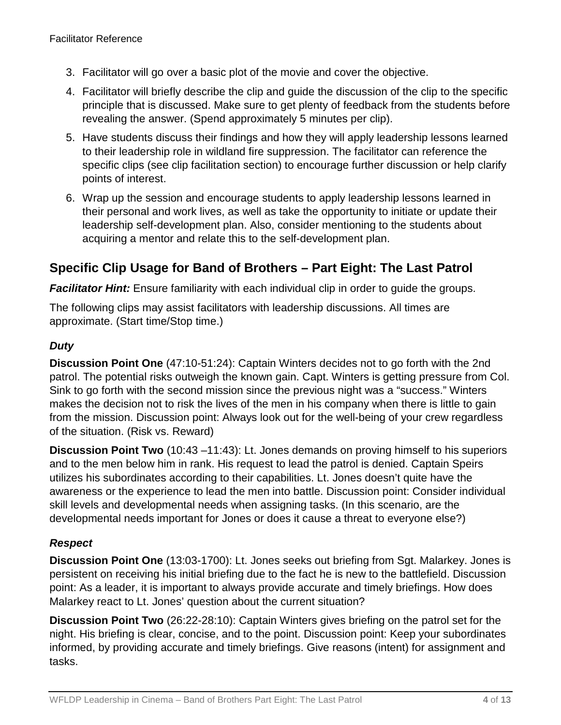- 3. Facilitator will go over a basic plot of the movie and cover the objective.
- 4. Facilitator will briefly describe the clip and guide the discussion of the clip to the specific principle that is discussed. Make sure to get plenty of feedback from the students before revealing the answer. (Spend approximately 5 minutes per clip).
- 5. Have students discuss their findings and how they will apply leadership lessons learned to their leadership role in wildland fire suppression. The facilitator can reference the specific clips (see clip facilitation section) to encourage further discussion or help clarify points of interest.
- 6. Wrap up the session and encourage students to apply leadership lessons learned in their personal and work lives, as well as take the opportunity to initiate or update their leadership self-development plan. Also, consider mentioning to the students about acquiring a mentor and relate this to the self-development plan.

# **Specific Clip Usage for Band of Brothers – Part Eight: The Last Patrol**

**Facilitator Hint:** Ensure familiarity with each individual clip in order to guide the groups.

The following clips may assist facilitators with leadership discussions. All times are approximate. (Start time/Stop time.)

#### *Duty*

**Discussion Point One** (47:10-51:24): Captain Winters decides not to go forth with the 2nd patrol. The potential risks outweigh the known gain. Capt. Winters is getting pressure from Col. Sink to go forth with the second mission since the previous night was a "success." Winters makes the decision not to risk the lives of the men in his company when there is little to gain from the mission. Discussion point: Always look out for the well-being of your crew regardless of the situation. (Risk vs. Reward)

**Discussion Point Two** (10:43 –11:43): Lt. Jones demands on proving himself to his superiors and to the men below him in rank. His request to lead the patrol is denied. Captain Speirs utilizes his subordinates according to their capabilities. Lt. Jones doesn't quite have the awareness or the experience to lead the men into battle. Discussion point: Consider individual skill levels and developmental needs when assigning tasks. (In this scenario, are the developmental needs important for Jones or does it cause a threat to everyone else?)

#### *Respect*

**Discussion Point One** (13:03-1700): Lt. Jones seeks out briefing from Sgt. Malarkey. Jones is persistent on receiving his initial briefing due to the fact he is new to the battlefield. Discussion point: As a leader, it is important to always provide accurate and timely briefings. How does Malarkey react to Lt. Jones' question about the current situation?

**Discussion Point Two** (26:22-28:10): Captain Winters gives briefing on the patrol set for the night. His briefing is clear, concise, and to the point. Discussion point: Keep your subordinates informed, by providing accurate and timely briefings. Give reasons (intent) for assignment and tasks.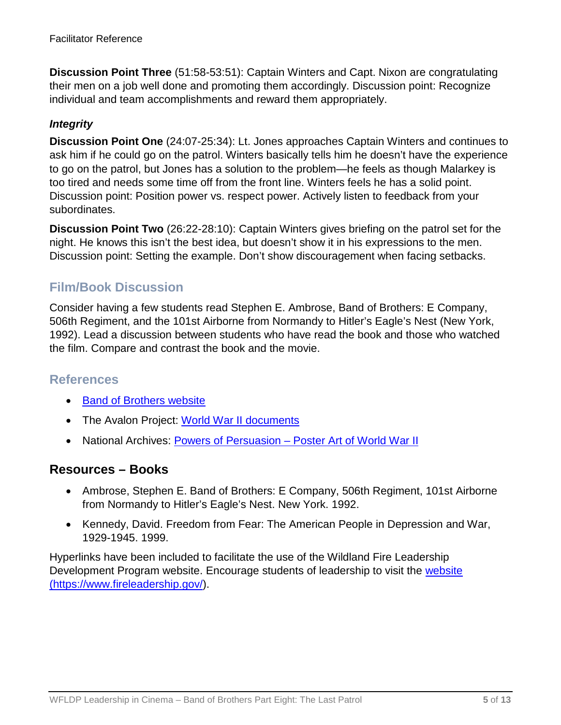**Discussion Point Three** (51:58-53:51): Captain Winters and Capt. Nixon are congratulating their men on a job well done and promoting them accordingly. Discussion point: Recognize individual and team accomplishments and reward them appropriately.

#### *Integrity*

**Discussion Point One** (24:07-25:34): Lt. Jones approaches Captain Winters and continues to ask him if he could go on the patrol. Winters basically tells him he doesn't have the experience to go on the patrol, but Jones has a solution to the problem—he feels as though Malarkey is too tired and needs some time off from the front line. Winters feels he has a solid point. Discussion point: Position power vs. respect power. Actively listen to feedback from your subordinates.

**Discussion Point Two** (26:22-28:10): Captain Winters gives briefing on the patrol set for the night. He knows this isn't the best idea, but doesn't show it in his expressions to the men. Discussion point: Setting the example. Don't show discouragement when facing setbacks.

### **Film/Book Discussion**

Consider having a few students read Stephen E. Ambrose, Band of Brothers: E Company, 506th Regiment, and the 101st Airborne from Normandy to Hitler's Eagle's Nest (New York, 1992). Lead a discussion between students who have read the book and those who watched the film. Compare and contrast the book and the movie.

#### **References**

- [Band of Brothers website](http://www.hbo.com/band/landing/currahee.html)
- The Avalon Project: [World War II documents](http://avalon.law.yale.edu/subject_menus/wwii.asp)
- National Archives: Powers of Persuasion [Poster Art of World War II](https://www.archives.gov/education/lessons/wwii-posters)

#### **Resources – Books**

- Ambrose, Stephen E. Band of Brothers: E Company, 506th Regiment, 101st Airborne from Normandy to Hitler's Eagle's Nest. New York. 1992.
- Kennedy, David. Freedom from Fear: The American People in Depression and War, 1929-1945. 1999.

Hyperlinks have been included to facilitate the use of the Wildland Fire Leadership Development Program website. Encourage students of leadership to visit the [website](https://www.fireleadership.gov/)  [\(https://www.fireleadership.gov/\)](https://www.fireleadership.gov/).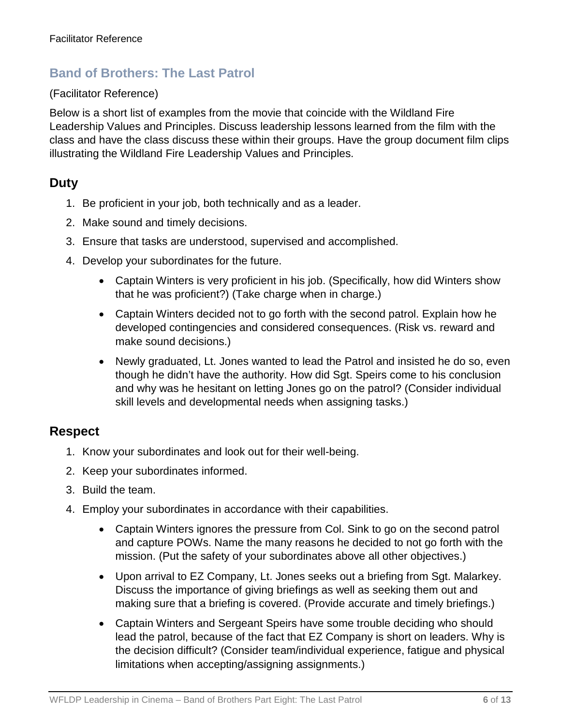## **Band of Brothers: The Last Patrol**

#### (Facilitator Reference)

Below is a short list of examples from the movie that coincide with the Wildland Fire Leadership Values and Principles. Discuss leadership lessons learned from the film with the class and have the class discuss these within their groups. Have the group document film clips illustrating the Wildland Fire Leadership Values and Principles.

### **Duty**

- 1. Be proficient in your job, both technically and as a leader.
- 2. Make sound and timely decisions.
- 3. Ensure that tasks are understood, supervised and accomplished.
- 4. Develop your subordinates for the future.
	- Captain Winters is very proficient in his job. (Specifically, how did Winters show that he was proficient?) (Take charge when in charge.)
	- Captain Winters decided not to go forth with the second patrol. Explain how he developed contingencies and considered consequences. (Risk vs. reward and make sound decisions.)
	- Newly graduated, Lt. Jones wanted to lead the Patrol and insisted he do so, even though he didn't have the authority. How did Sgt. Speirs come to his conclusion and why was he hesitant on letting Jones go on the patrol? (Consider individual skill levels and developmental needs when assigning tasks.)

### **Respect**

- 1. Know your subordinates and look out for their well-being.
- 2. Keep your subordinates informed.
- 3. Build the team.
- 4. Employ your subordinates in accordance with their capabilities.
	- Captain Winters ignores the pressure from Col. Sink to go on the second patrol and capture POWs. Name the many reasons he decided to not go forth with the mission. (Put the safety of your subordinates above all other objectives.)
	- Upon arrival to EZ Company, Lt. Jones seeks out a briefing from Sgt. Malarkey. Discuss the importance of giving briefings as well as seeking them out and making sure that a briefing is covered. (Provide accurate and timely briefings.)
	- Captain Winters and Sergeant Speirs have some trouble deciding who should lead the patrol, because of the fact that EZ Company is short on leaders. Why is the decision difficult? (Consider team/individual experience, fatigue and physical limitations when accepting/assigning assignments.)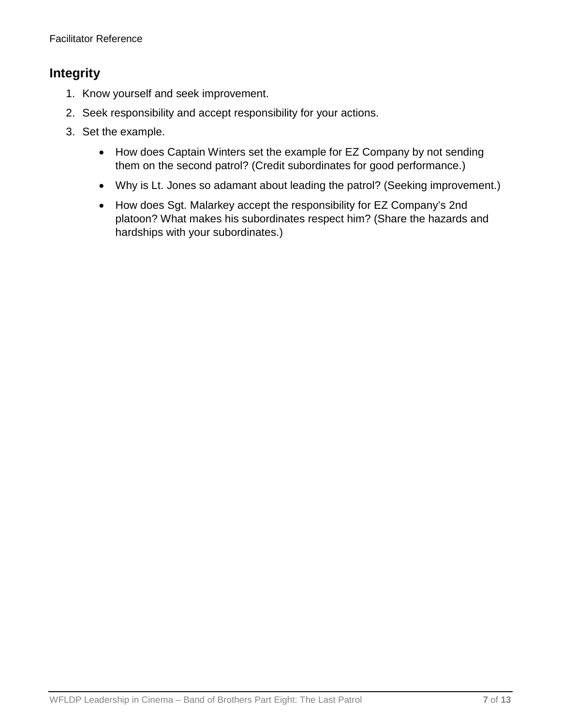### **Integrity**

- 1. Know yourself and seek improvement.
- 2. Seek responsibility and accept responsibility for your actions.
- 3. Set the example.
	- How does Captain Winters set the example for EZ Company by not sending them on the second patrol? (Credit subordinates for good performance.)
	- Why is Lt. Jones so adamant about leading the patrol? (Seeking improvement.)
	- How does Sgt. Malarkey accept the responsibility for EZ Company's 2nd platoon? What makes his subordinates respect him? (Share the hazards and hardships with your subordinates.)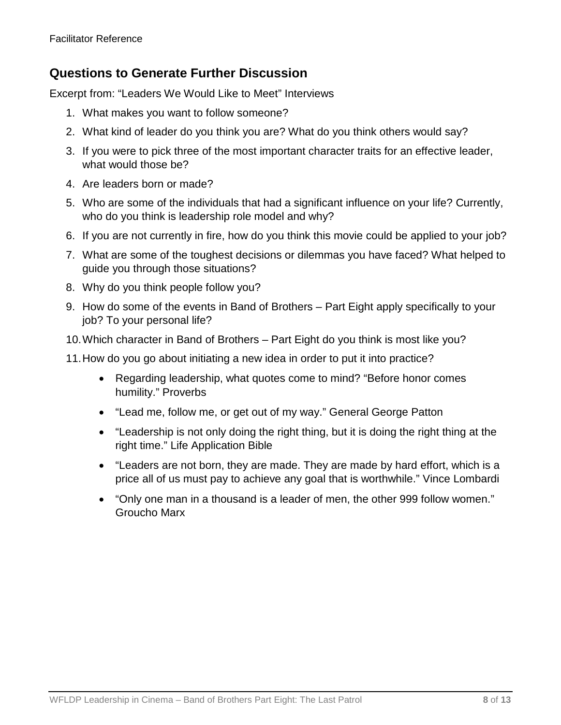### **Questions to Generate Further Discussion**

Excerpt from: "Leaders We Would Like to Meet" Interviews

- 1. What makes you want to follow someone?
- 2. What kind of leader do you think you are? What do you think others would say?
- 3. If you were to pick three of the most important character traits for an effective leader, what would those be?
- 4. Are leaders born or made?
- 5. Who are some of the individuals that had a significant influence on your life? Currently, who do you think is leadership role model and why?
- 6. If you are not currently in fire, how do you think this movie could be applied to your job?
- 7. What are some of the toughest decisions or dilemmas you have faced? What helped to guide you through those situations?
- 8. Why do you think people follow you?
- 9. How do some of the events in Band of Brothers Part Eight apply specifically to your job? To your personal life?
- 10.Which character in Band of Brothers Part Eight do you think is most like you?
- 11.How do you go about initiating a new idea in order to put it into practice?
	- Regarding leadership, what quotes come to mind? "Before honor comes humility." Proverbs
	- "Lead me, follow me, or get out of my way." General George Patton
	- "Leadership is not only doing the right thing, but it is doing the right thing at the right time." Life Application Bible
	- "Leaders are not born, they are made. They are made by hard effort, which is a price all of us must pay to achieve any goal that is worthwhile." Vince Lombardi
	- "Only one man in a thousand is a leader of men, the other 999 follow women." Groucho Marx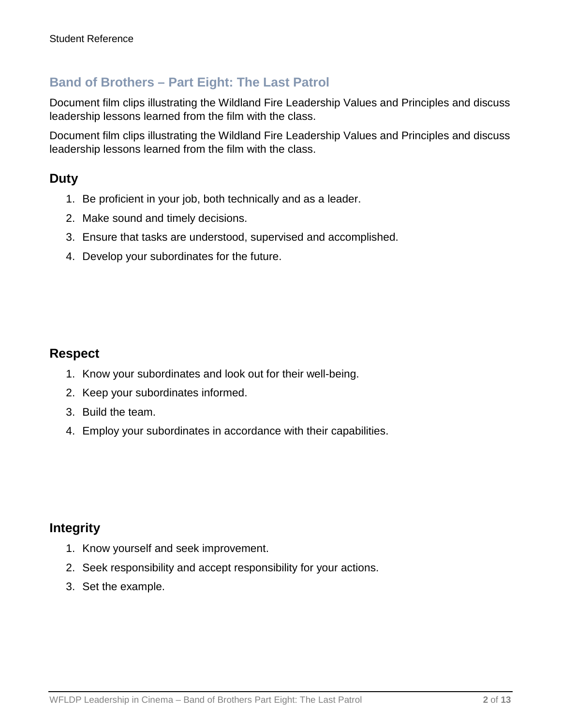# **Band of Brothers – Part Eight: The Last Patrol**

Document film clips illustrating the Wildland Fire Leadership Values and Principles and discuss leadership lessons learned from the film with the class.

Document film clips illustrating the Wildland Fire Leadership Values and Principles and discuss leadership lessons learned from the film with the class.

### **Duty**

- 1. Be proficient in your job, both technically and as a leader.
- 2. Make sound and timely decisions.
- 3. Ensure that tasks are understood, supervised and accomplished.
- 4. Develop your subordinates for the future.

#### **Respect**

- 1. Know your subordinates and look out for their well-being.
- 2. Keep your subordinates informed.
- 3. Build the team.
- 4. Employ your subordinates in accordance with their capabilities.

### **Integrity**

- 1. Know yourself and seek improvement.
- 2. Seek responsibility and accept responsibility for your actions.
- 3. Set the example.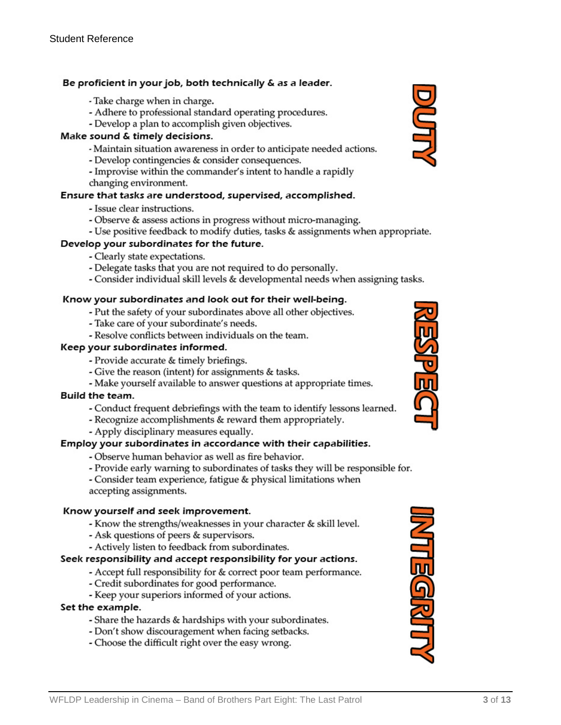#### Be proficient in your job, both technically & as a leader.

- Take charge when in charge.
- Adhere to professional standard operating procedures.
- Develop a plan to accomplish given objectives.

#### Make sound & timely decisions.

- Maintain situation awareness in order to anticipate needed actions.
- Develop contingencies & consider consequences.
- Improvise within the commander's intent to handle a rapidly
- changing environment.

#### Ensure that tasks are understood, supervised, accomplished.

- Issue clear instructions.
- Observe & assess actions in progress without micro-managing.
- Use positive feedback to modify duties, tasks & assignments when appropriate.

#### Develop your subordinates for the future.

- Clearly state expectations.
- Delegate tasks that you are not required to do personally.
- Consider individual skill levels & developmental needs when assigning tasks.

#### Know your subordinates and look out for their well-being.

- Put the safety of your subordinates above all other objectives.
- Take care of your subordinate's needs.
- Resolve conflicts between individuals on the team.

#### Keep your subordinates informed.

- Provide accurate & timely briefings.
- Give the reason (intent) for assignments & tasks.
- Make yourself available to answer questions at appropriate times.

#### Build the team.

- Conduct frequent debriefings with the team to identify lessons learned.
- Recognize accomplishments & reward them appropriately.
- Apply disciplinary measures equally.

#### Employ your subordinates in accordance with their capabilities.

- Observe human behavior as well as fire behavior.
- Provide early warning to subordinates of tasks they will be responsible for.

- Consider team experience, fatigue & physical limitations when accepting assignments.

#### Know yourself and seek improvement.

- Know the strengths/weaknesses in your character & skill level.
- Ask questions of peers & supervisors.
- Actively listen to feedback from subordinates.

#### Seek responsibility and accept responsibility for your actions.

- Accept full responsibility for & correct poor team performance.
- Credit subordinates for good performance.
- Keep your superiors informed of your actions.

#### Set the example.

- Share the hazards & hardships with your subordinates.
- Don't show discouragement when facing setbacks.
- Choose the difficult right over the easy wrong.





**MTEGRITT**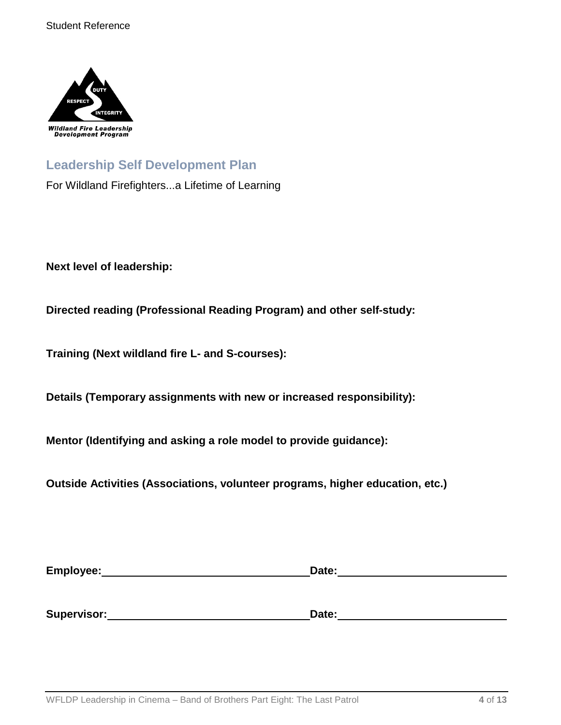

# **Leadership Self Development Plan**

For Wildland Firefighters...a Lifetime of Learning

**Next level of leadership:**

**Directed reading (Professional Reading Program) and other self-study:**

**Training (Next wildland fire L- and S-courses):**

**Details (Temporary assignments with new or increased responsibility):**

**Mentor (Identifying and asking a role model to provide guidance):**

**Outside Activities (Associations, volunteer programs, higher education, etc.)**

| Employee:   | Date: |  |  |
|-------------|-------|--|--|
|             |       |  |  |
|             |       |  |  |
| Supervisor: | Date: |  |  |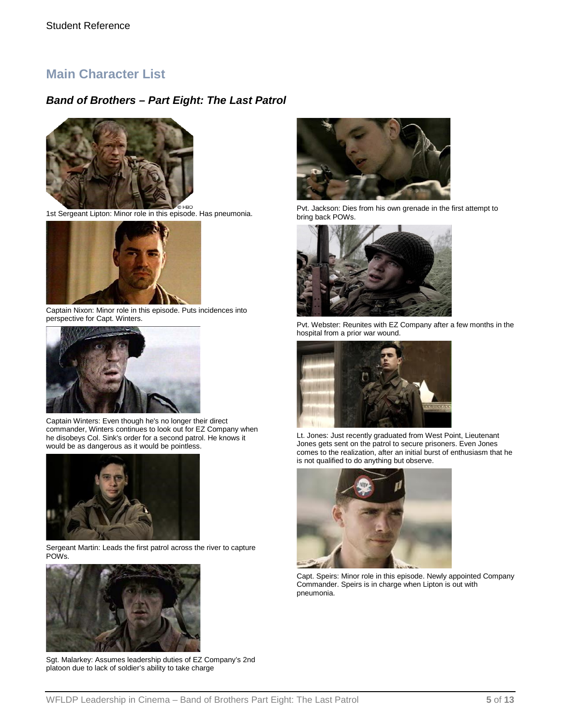### **Main Character List**

#### *Band of Brothers – Part Eight: The Last Patrol*



1st Sergeant Lipton: Minor role in this episode. Has pneumonia.



Captain Nixon: Minor role in this episode. Puts incidences into perspective for Capt. Winters.



Captain Winters: Even though he's no longer their direct commander, Winters continues to look out for EZ Company when he disobeys Col. Sink's order for a second patrol. He knows it would be as dangerous as it would be pointless.



Sergeant Martin: Leads the first patrol across the river to capture POWs.



Sgt. Malarkey: Assumes leadership duties of EZ Company's 2nd platoon due to lack of soldier's ability to take charge



Pvt. Jackson: Dies from his own grenade in the first attempt to bring back POWs.



Pvt. Webster: Reunites with EZ Company after a few months in the hospital from a prior war wound.



Lt. Jones: Just recently graduated from West Point, Lieutenant Jones gets sent on the patrol to secure prisoners. Even Jones comes to the realization, after an initial burst of enthusiasm that he is not qualified to do anything but observe.



Capt. Speirs: Minor role in this episode. Newly appointed Company Commander. Speirs is in charge when Lipton is out with pneumonia.